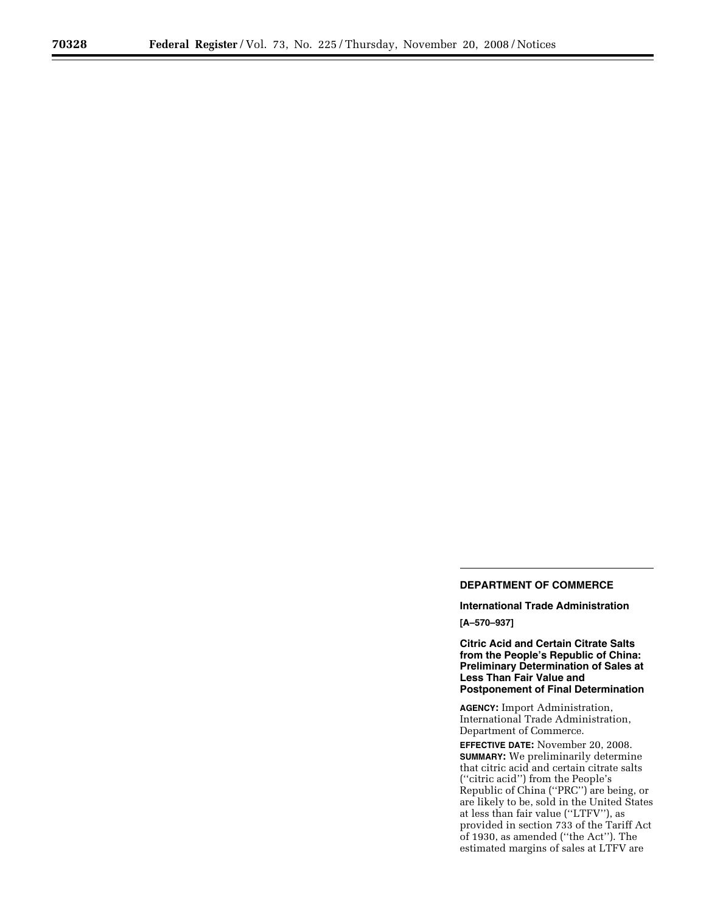# **DEPARTMENT OF COMMERCE**

**International Trade Administration [A–570–937]** 

**Citric Acid and Certain Citrate Salts from the People's Republic of China: Preliminary Determination of Sales at Less Than Fair Value and Postponement of Final Determination** 

**AGENCY:** Import Administration, International Trade Administration, Department of Commerce.

**EFFECTIVE DATE:** November 20, 2008. **SUMMARY:** We preliminarily determine that citric acid and certain citrate salts (''citric acid'') from the People's Republic of China (''PRC'') are being, or are likely to be, sold in the United States at less than fair value (''LTFV''), as provided in section 733 of the Tariff Act of 1930, as amended (''the Act''). The estimated margins of sales at LTFV are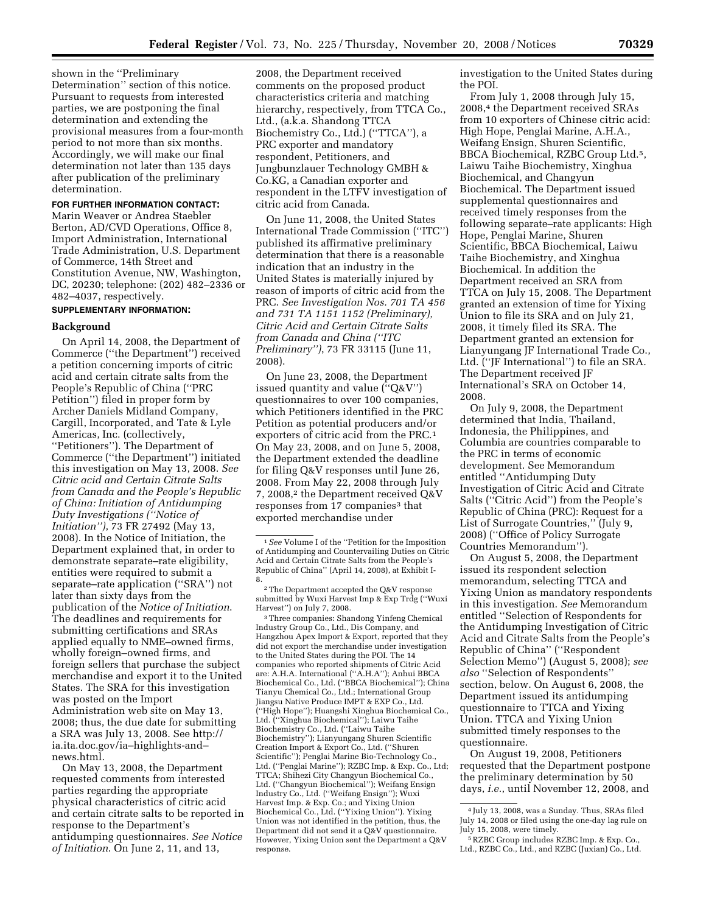shown in the ''Preliminary Determination'' section of this notice. Pursuant to requests from interested parties, we are postponing the final determination and extending the provisional measures from a four-month period to not more than six months. Accordingly, we will make our final determination not later than 135 days after publication of the preliminary determination.

## **FOR FURTHER INFORMATION CONTACT:**

Marin Weaver or Andrea Staebler Berton, AD/CVD Operations, Office 8, Import Administration, International Trade Administration, U.S. Department of Commerce, 14th Street and Constitution Avenue, NW, Washington, DC, 20230; telephone: (202) 482–2336 or 482–4037, respectively.

# **SUPPLEMENTARY INFORMATION:**

#### **Background**

On April 14, 2008, the Department of Commerce (''the Department'') received a petition concerning imports of citric acid and certain citrate salts from the People's Republic of China (''PRC Petition'') filed in proper form by Archer Daniels Midland Company, Cargill, Incorporated, and Tate & Lyle Americas, Inc. (collectively, ''Petitioners''). The Department of Commerce (''the Department'') initiated this investigation on May 13, 2008. *See Citric acid and Certain Citrate Salts from Canada and the People's Republic of China: Initiation of Antidumping Duty Investigations (''Notice of Initiation'')*, 73 FR 27492 (May 13, 2008). In the Notice of Initiation, the Department explained that, in order to demonstrate separate–rate eligibility, entities were required to submit a separate–rate application (''SRA'') not later than sixty days from the publication of the *Notice of Initiation*. The deadlines and requirements for submitting certifications and SRAs applied equally to NME–owned firms, wholly foreign–owned firms, and foreign sellers that purchase the subject merchandise and export it to the United States. The SRA for this investigation was posted on the Import Administration web site on May 13, 2008; thus, the due date for submitting a SRA was July 13, 2008. See http:// ia.ita.doc.gov/ia–highlights-and– news.html.

On May 13, 2008, the Department requested comments from interested parties regarding the appropriate physical characteristics of citric acid and certain citrate salts to be reported in response to the Department's antidumping questionnaires. *See Notice of Initiation*. On June 2, 11, and 13,

2008, the Department received comments on the proposed product characteristics criteria and matching hierarchy, respectively, from TTCA Co., Ltd., (a.k.a. Shandong TTCA Biochemistry Co., Ltd.) (''TTCA''), a PRC exporter and mandatory respondent, Petitioners, and Jungbunzlauer Technology GMBH & Co.KG, a Canadian exporter and respondent in the LTFV investigation of citric acid from Canada.

On June 11, 2008, the United States International Trade Commission (''ITC'') published its affirmative preliminary determination that there is a reasonable indication that an industry in the United States is materially injured by reason of imports of citric acid from the PRC. *See Investigation Nos. 701 TA 456 and 731 TA 1151 1152 (Preliminary), Citric Acid and Certain Citrate Salts from Canada and China (''ITC Preliminary'')*, 73 FR 33115 (June 11, 2008).

On June 23, 2008, the Department issued quantity and value (''Q&V'') questionnaires to over 100 companies, which Petitioners identified in the PRC Petition as potential producers and/or exporters of citric acid from the PRC.1 On May 23, 2008, and on June 5, 2008, the Department extended the deadline for filing Q&V responses until June 26, 2008. From May 22, 2008 through July 7, 2008,<sup>2</sup> the Department received Q&V responses from 17 companies<sup>3</sup> that exported merchandise under

3Three companies: Shandong Yinfeng Chemical Industry Group Co., Ltd., Dis Company, and Hangzhou Apex Import & Export, reported that they did not export the merchandise under investigation to the United States during the POI. The 14 companies who reported shipments of Citric Acid are: A.H.A. International (''A.H.A''); Anhui BBCA Biochemical Co., Ltd. (''BBCA Biochemical''); China Tianyu Chemical Co., Ltd.; International Group Jiangsu Native Produce IMPT & EXP Co., Ltd. (''High Hope''); Huangshi Xinghua Biochemical Co., Ltd. (''Xinghua Biochemical''); Laiwu Taihe Biochemistry Co., Ltd. (''Laiwu Taihe Biochemistry''); Lianyungang Shuren Scientific Creation Import & Export Co., Ltd. (''Shuren Scientific''); Penglai Marine Bio-Technology Co., Ltd. (''Penglai Marine''); RZBC Imp. & Exp. Co., Ltd; TTCA; Shihezi City Changyun Biochemical Co., Ltd. (''Changyun Biochemical''); Weifang Ensign Industry Co., Ltd. (''Weifang Ensign''); Wuxi Harvest Imp. & Exp. Co.; and Yixing Union Biochemical Co., Ltd. (''Yixing Union''). Yixing Union was not identified in the petition, thus, the Department did not send it a Q&V questionnaire. However, Yixing Union sent the Department a Q&V response.

investigation to the United States during the POI.

From July 1, 2008 through July 15, 2008,<sup>4</sup> the Department received SRAs from 10 exporters of Chinese citric acid: High Hope, Penglai Marine, A.H.A., Weifang Ensign, Shuren Scientific, BBCA Biochemical, RZBC Group Ltd.5, Laiwu Taihe Biochemistry, Xinghua Biochemical, and Changyun Biochemical. The Department issued supplemental questionnaires and received timely responses from the following separate–rate applicants: High Hope, Penglai Marine, Shuren Scientific, BBCA Biochemical, Laiwu Taihe Biochemistry, and Xinghua Biochemical. In addition the Department received an SRA from TTCA on July 15, 2008. The Department granted an extension of time for Yixing Union to file its SRA and on July 21, 2008, it timely filed its SRA. The Department granted an extension for Lianyungang JF International Trade Co., Ltd. (''JF International'') to file an SRA. The Department received JF International's SRA on October 14, 2008.

On July 9, 2008, the Department determined that India, Thailand, Indonesia, the Philippines, and Columbia are countries comparable to the PRC in terms of economic development. See Memorandum entitled ''Antidumping Duty Investigation of Citric Acid and Citrate Salts (''Citric Acid'') from the People's Republic of China (PRC): Request for a List of Surrogate Countries,'' (July 9, 2008) (''Office of Policy Surrogate Countries Memorandum'').

On August 5, 2008, the Department issued its respondent selection memorandum, selecting TTCA and Yixing Union as mandatory respondents in this investigation. *See* Memorandum entitled ''Selection of Respondents for the Antidumping Investigation of Citric Acid and Citrate Salts from the People's Republic of China'' (''Respondent Selection Memo'') (August 5, 2008); *see also* ''Selection of Respondents'' section, below. On August 6, 2008, the Department issued its antidumping questionnaire to TTCA and Yixing Union. TTCA and Yixing Union submitted timely responses to the questionnaire.

On August 19, 2008, Petitioners requested that the Department postpone the preliminary determination by 50 days, *i.e.*, until November 12, 2008, and

<sup>1</sup>*See* Volume I of the ''Petition for the Imposition of Antidumping and Countervailing Duties on Citric Acid and Certain Citrate Salts from the People's Republic of China'' (April 14, 2008), at Exhibit I-8.

<sup>2</sup>The Department accepted the Q&V response submitted by Wuxi Harvest Imp & Exp Trdg (''Wuxi Harvest'') on July 7, 2008.

<sup>4</sup> July 13, 2008, was a Sunday. Thus, SRAs filed July 14, 2008 or filed using the one-day lag rule on July 15, 2008, were timely.

<sup>5</sup>RZBC Group includes RZBC Imp. & Exp. Co., Ltd., RZBC Co., Ltd., and RZBC (Juxian) Co., Ltd.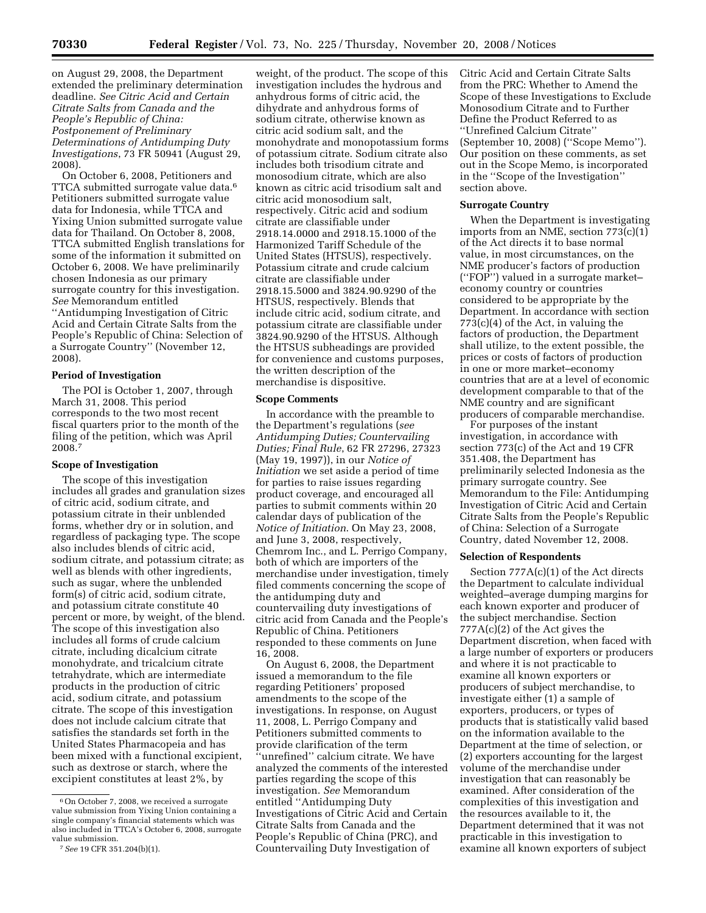on August 29, 2008, the Department extended the preliminary determination deadline. *See Citric Acid and Certain Citrate Salts from Canada and the People's Republic of China: Postponement of Preliminary Determinations of Antidumping Duty Investigations*, 73 FR 50941 (August 29, 2008).

On October 6, 2008, Petitioners and TTCA submitted surrogate value data.6 Petitioners submitted surrogate value data for Indonesia, while TTCA and Yixing Union submitted surrogate value data for Thailand. On October 8, 2008, TTCA submitted English translations for some of the information it submitted on October 6, 2008. We have preliminarily chosen Indonesia as our primary surrogate country for this investigation. *See* Memorandum entitled ''Antidumping Investigation of Citric Acid and Certain Citrate Salts from the People's Republic of China: Selection of a Surrogate Country'' (November 12, 2008).

### **Period of Investigation**

The POI is October 1, 2007, through March 31, 2008. This period corresponds to the two most recent fiscal quarters prior to the month of the filing of the petition, which was April 2008.7

### **Scope of Investigation**

The scope of this investigation includes all grades and granulation sizes of citric acid, sodium citrate, and potassium citrate in their unblended forms, whether dry or in solution, and regardless of packaging type. The scope also includes blends of citric acid, sodium citrate, and potassium citrate; as well as blends with other ingredients, such as sugar, where the unblended form(s) of citric acid, sodium citrate, and potassium citrate constitute 40 percent or more, by weight, of the blend. The scope of this investigation also includes all forms of crude calcium citrate, including dicalcium citrate monohydrate, and tricalcium citrate tetrahydrate, which are intermediate products in the production of citric acid, sodium citrate, and potassium citrate. The scope of this investigation does not include calcium citrate that satisfies the standards set forth in the United States Pharmacopeia and has been mixed with a functional excipient, such as dextrose or starch, where the excipient constitutes at least 2%, by

weight, of the product. The scope of this investigation includes the hydrous and anhydrous forms of citric acid, the dihydrate and anhydrous forms of sodium citrate, otherwise known as citric acid sodium salt, and the monohydrate and monopotassium forms of potassium citrate. Sodium citrate also includes both trisodium citrate and monosodium citrate, which are also known as citric acid trisodium salt and citric acid monosodium salt, respectively. Citric acid and sodium citrate are classifiable under 2918.14.0000 and 2918.15.1000 of the Harmonized Tariff Schedule of the United States (HTSUS), respectively. Potassium citrate and crude calcium citrate are classifiable under 2918.15.5000 and 3824.90.9290 of the HTSUS, respectively. Blends that include citric acid, sodium citrate, and potassium citrate are classifiable under 3824.90.9290 of the HTSUS. Although the HTSUS subheadings are provided for convenience and customs purposes, the written description of the merchandise is dispositive.

#### **Scope Comments**

In accordance with the preamble to the Department's regulations (*see Antidumping Duties; Countervailing Duties; Final Rule*, 62 FR 27296, 27323 (May 19, 1997)), in our *Notice of Initiation* we set aside a period of time for parties to raise issues regarding product coverage, and encouraged all parties to submit comments within 20 calendar days of publication of the *Notice of Initiation*. On May 23, 2008, and June 3, 2008, respectively, Chemrom Inc., and L. Perrigo Company, both of which are importers of the merchandise under investigation, timely filed comments concerning the scope of the antidumping duty and countervailing duty investigations of citric acid from Canada and the People's Republic of China. Petitioners responded to these comments on June 16, 2008.

On August 6, 2008, the Department issued a memorandum to the file regarding Petitioners' proposed amendments to the scope of the investigations. In response, on August 11, 2008, L. Perrigo Company and Petitioners submitted comments to provide clarification of the term ''unrefined'' calcium citrate. We have analyzed the comments of the interested parties regarding the scope of this investigation. *See* Memorandum entitled ''Antidumping Duty Investigations of Citric Acid and Certain Citrate Salts from Canada and the People's Republic of China (PRC), and Countervailing Duty Investigation of

Citric Acid and Certain Citrate Salts from the PRC: Whether to Amend the Scope of these Investigations to Exclude Monosodium Citrate and to Further Define the Product Referred to as ''Unrefined Calcium Citrate'' (September 10, 2008) (''Scope Memo''). Our position on these comments, as set out in the Scope Memo, is incorporated in the ''Scope of the Investigation'' section above.

### **Surrogate Country**

When the Department is investigating imports from an NME, section 773(c)(1) of the Act directs it to base normal value, in most circumstances, on the NME producer's factors of production (''FOP'') valued in a surrogate market– economy country or countries considered to be appropriate by the Department. In accordance with section 773(c)(4) of the Act, in valuing the factors of production, the Department shall utilize, to the extent possible, the prices or costs of factors of production in one or more market–economy countries that are at a level of economic development comparable to that of the NME country and are significant producers of comparable merchandise.

For purposes of the instant investigation, in accordance with section 773(c) of the Act and 19 CFR 351.408, the Department has preliminarily selected Indonesia as the primary surrogate country. See Memorandum to the File: Antidumping Investigation of Citric Acid and Certain Citrate Salts from the People's Republic of China: Selection of a Surrogate Country, dated November 12, 2008.

### **Selection of Respondents**

Section 777A(c)(1) of the Act directs the Department to calculate individual weighted–average dumping margins for each known exporter and producer of the subject merchandise. Section 777A(c)(2) of the Act gives the Department discretion, when faced with a large number of exporters or producers and where it is not practicable to examine all known exporters or producers of subject merchandise, to investigate either (1) a sample of exporters, producers, or types of products that is statistically valid based on the information available to the Department at the time of selection, or (2) exporters accounting for the largest volume of the merchandise under investigation that can reasonably be examined. After consideration of the complexities of this investigation and the resources available to it, the Department determined that it was not practicable in this investigation to examine all known exporters of subject

<sup>&</sup>lt;sup>6</sup> On October 7, 2008, we received a surrogate value submission from Yixing Union containing a single company's financial statements which was also included in TTCA's October 6, 2008, surrogate value submission.

<sup>7</sup>*See* 19 CFR 351.204(b)(1).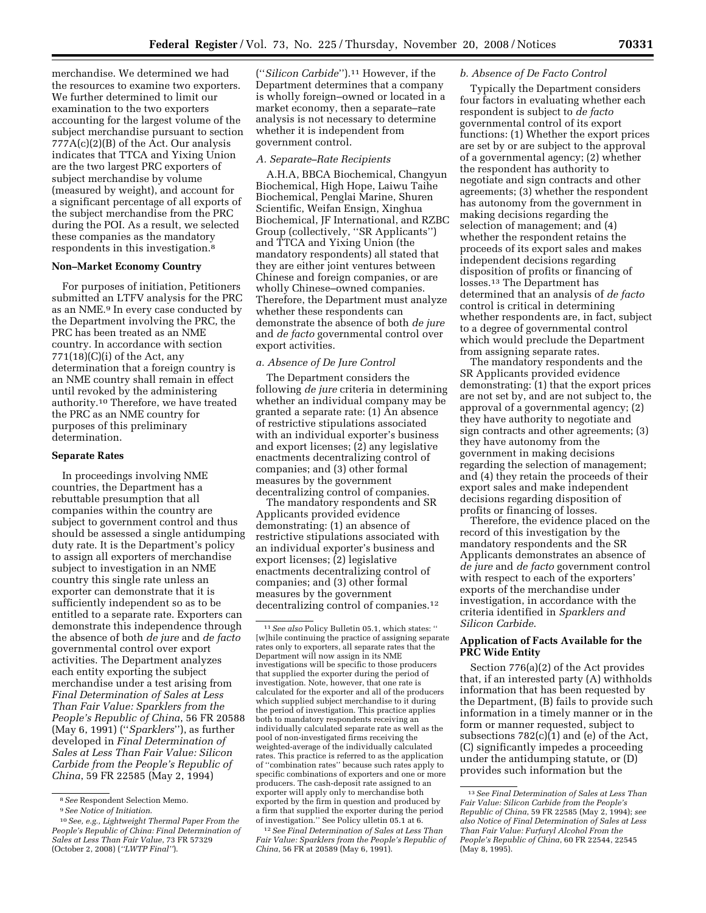merchandise. We determined we had the resources to examine two exporters. We further determined to limit our examination to the two exporters accounting for the largest volume of the subject merchandise pursuant to section 777A(c)(2)(B) of the Act. Our analysis indicates that TTCA and Yixing Union are the two largest PRC exporters of subject merchandise by volume (measured by weight), and account for a significant percentage of all exports of the subject merchandise from the PRC during the POI. As a result, we selected these companies as the mandatory respondents in this investigation.8

### **Non–Market Economy Country**

For purposes of initiation, Petitioners submitted an LTFV analysis for the PRC as an NME.<sup>9</sup> In every case conducted by the Department involving the PRC, the PRC has been treated as an NME country. In accordance with section  $771(18)(C)(i)$  of the Act, any determination that a foreign country is an NME country shall remain in effect until revoked by the administering authority.10 Therefore, we have treated the PRC as an NME country for purposes of this preliminary determination.

### **Separate Rates**

In proceedings involving NME countries, the Department has a rebuttable presumption that all companies within the country are subject to government control and thus should be assessed a single antidumping duty rate. It is the Department's policy to assign all exporters of merchandise subject to investigation in an NME country this single rate unless an exporter can demonstrate that it is sufficiently independent so as to be entitled to a separate rate. Exporters can demonstrate this independence through the absence of both *de jure* and *de facto*  governmental control over export activities. The Department analyzes each entity exporting the subject merchandise under a test arising from *Final Determination of Sales at Less Than Fair Value: Sparklers from the People's Republic of China*, 56 FR 20588 (May 6, 1991) (''*Sparklers*''), as further developed in *Final Determination of Sales at Less Than Fair Value: Silicon Carbide from the People's Republic of China*, 59 FR 22585 (May 2, 1994)

(''*Silicon Carbide*'').11 However, if the Department determines that a company is wholly foreign–owned or located in a market economy, then a separate–rate analysis is not necessary to determine whether it is independent from government control.

### *A. Separate–Rate Recipients*

A.H.A, BBCA Biochemical, Changyun Biochemical, High Hope, Laiwu Taihe Biochemical, Penglai Marine, Shuren Scientific, Weifan Ensign, Xinghua Biochemical, JF International, and RZBC Group (collectively, ''SR Applicants'') and TTCA and Yixing Union (the mandatory respondents) all stated that they are either joint ventures between Chinese and foreign companies, or are wholly Chinese–owned companies. Therefore, the Department must analyze whether these respondents can demonstrate the absence of both *de jure*  and *de facto* governmental control over export activities.

#### *a. Absence of De Jure Control*

The Department considers the following *de jure* criteria in determining whether an individual company may be granted a separate rate: (1) An absence of restrictive stipulations associated with an individual exporter's business and export licenses; (2) any legislative enactments decentralizing control of companies; and (3) other formal measures by the government decentralizing control of companies.

The mandatory respondents and SR Applicants provided evidence demonstrating: (1) an absence of restrictive stipulations associated with an individual exporter's business and export licenses; (2) legislative enactments decentralizing control of companies; and (3) other formal measures by the government decentralizing control of companies.12

12*See Final Determination of Sales at Less Than Fair Value: Sparklers from the People's Republic of China*, 56 FR<sup>'</sup>at 20589<sup>(May 6, 1991).</sup>

#### *b. Absence of De Facto Control*

Typically the Department considers four factors in evaluating whether each respondent is subject to *de facto*  governmental control of its export functions: (1) Whether the export prices are set by or are subject to the approval of a governmental agency; (2) whether the respondent has authority to negotiate and sign contracts and other agreements; (3) whether the respondent has autonomy from the government in making decisions regarding the selection of management; and (4) whether the respondent retains the proceeds of its export sales and makes independent decisions regarding disposition of profits or financing of losses.13 The Department has determined that an analysis of *de facto*  control is critical in determining whether respondents are, in fact, subject to a degree of governmental control which would preclude the Department from assigning separate rates.

The mandatory respondents and the SR Applicants provided evidence demonstrating: (1) that the export prices are not set by, and are not subject to, the approval of a governmental agency; (2) they have authority to negotiate and sign contracts and other agreements; (3) they have autonomy from the government in making decisions regarding the selection of management; and (4) they retain the proceeds of their export sales and make independent decisions regarding disposition of profits or financing of losses.

Therefore, the evidence placed on the record of this investigation by the mandatory respondents and the SR Applicants demonstrates an absence of *de jure* and *de facto* government control with respect to each of the exporters' exports of the merchandise under investigation, in accordance with the criteria identified in *Sparklers and Silicon Carbide*.

### **Application of Facts Available for the PRC Wide Entity**

Section 776(a)(2) of the Act provides that, if an interested party (A) withholds information that has been requested by the Department, (B) fails to provide such information in a timely manner or in the form or manner requested, subject to subsections 782(c)(1) and (e) of the Act, (C) significantly impedes a proceeding under the antidumping statute, or (D) provides such information but the

<sup>8</sup>*See* Respondent Selection Memo.

<sup>9</sup>*See Notice of Initiation*.

<sup>10</sup>*See, e.g., Lightweight Thermal Paper From the People's Republic of China: Final Determination of Sales at Less Than Fair Value*, 73 FR 57329 (October 2, 2008) (*''LWTP Final''*).

<sup>11</sup>*See also* Policy Bulletin 05.1, which states: '' [w]hile continuing the practice of assigning separate rates only to exporters, all separate rates that the Department will now assign in its NME investigations will be specific to those producers that supplied the exporter during the period of investigation. Note, however, that one rate is calculated for the exporter and all of the producers which supplied subject merchandise to it during the period of investigation. This practice applies both to mandatory respondents receiving an individually calculated separate rate as well as the pool of non-investigated firms receiving the weighted-average of the individually calculated rates. This practice is referred to as the application of ''combination rates'' because such rates apply to specific combinations of exporters and one or more producers. The cash-deposit rate assigned to an exporter will apply only to merchandise both exported by the firm in question and produced by a firm that supplied the exporter during the period of investigation.'' See Policy ulletin 05.1 at 6.

<sup>13</sup>*See Final Determination of Sales at Less Than Fair Value: Silicon Carbide from the People's Republic of China*, 59 FR 22585 (May 2, 1994); *see also Notice of Final Determination of Sales at Less Than Fair Value: Furfuryl Alcohol From the People's Republic of China*, 60 FR 22544, 22545 (May 8, 1995).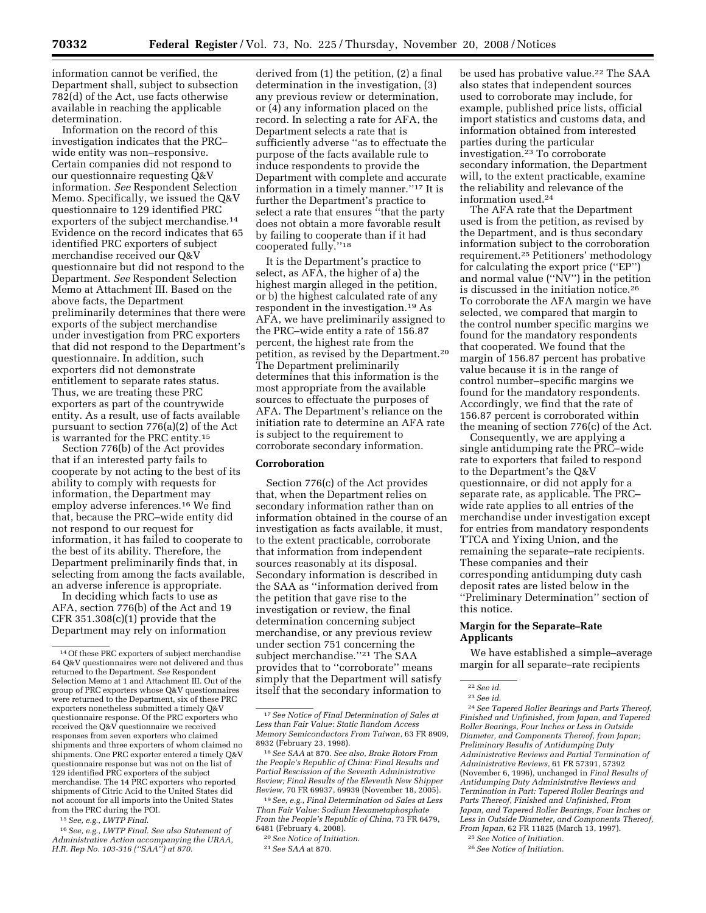information cannot be verified, the Department shall, subject to subsection 782(d) of the Act, use facts otherwise available in reaching the applicable determination.

Information on the record of this investigation indicates that the PRC– wide entity was non–responsive. Certain companies did not respond to our questionnaire requesting Q&V information. *See* Respondent Selection Memo. Specifically, we issued the Q&V questionnaire to 129 identified PRC exporters of the subject merchandise.14 Evidence on the record indicates that 65 identified PRC exporters of subject merchandise received our Q&V questionnaire but did not respond to the Department. *See* Respondent Selection Memo at Attachment III. Based on the above facts, the Department preliminarily determines that there were exports of the subject merchandise under investigation from PRC exporters that did not respond to the Department's questionnaire. In addition, such exporters did not demonstrate entitlement to separate rates status. Thus, we are treating these PRC exporters as part of the countrywide entity. As a result, use of facts available pursuant to section 776(a)(2) of the Act is warranted for the PRC entity.<sup>15</sup>

Section 776(b) of the Act provides that if an interested party fails to cooperate by not acting to the best of its ability to comply with requests for information, the Department may employ adverse inferences.16 We find that, because the PRC–wide entity did not respond to our request for information, it has failed to cooperate to the best of its ability. Therefore, the Department preliminarily finds that, in selecting from among the facts available, an adverse inference is appropriate.

In deciding which facts to use as AFA, section 776(b) of the Act and 19 CFR  $351.308(c)(1)$  provide that the Department may rely on information

15*See, e.g., LWTP Final*.

16*See, e.g., LWTP Final. See also Statement of Administrative Action accompanying the URAA, H.R. Rep No. 103-316 (''SAA'') at 870.* 

derived from (1) the petition, (2) a final determination in the investigation, (3) any previous review or determination, or (4) any information placed on the record. In selecting a rate for AFA, the Department selects a rate that is sufficiently adverse ''as to effectuate the purpose of the facts available rule to induce respondents to provide the Department with complete and accurate information in a timely manner.''17 It is further the Department's practice to select a rate that ensures "that the party does not obtain a more favorable result by failing to cooperate than if it had cooperated fully.''18

It is the Department's practice to select, as AFA, the higher of a) the highest margin alleged in the petition, or b) the highest calculated rate of any respondent in the investigation.19 As AFA, we have preliminarily assigned to the PRC–wide entity a rate of 156.87 percent, the highest rate from the petition, as revised by the Department.<sup>20</sup> The Department preliminarily determines that this information is the most appropriate from the available sources to effectuate the purposes of AFA. The Department's reliance on the initiation rate to determine an AFA rate is subject to the requirement to corroborate secondary information.

### **Corroboration**

Section 776(c) of the Act provides that, when the Department relies on secondary information rather than on information obtained in the course of an investigation as facts available, it must, to the extent practicable, corroborate that information from independent sources reasonably at its disposal. Secondary information is described in the SAA as ''information derived from the petition that gave rise to the investigation or review, the final determination concerning subject merchandise, or any previous review under section 751 concerning the subject merchandise.''21 The SAA provides that to ''corroborate'' means simply that the Department will satisfy itself that the secondary information to

be used has probative value.<sup>22</sup> The SAA also states that independent sources used to corroborate may include, for example, published price lists, official import statistics and customs data, and information obtained from interested parties during the particular investigation.23 To corroborate secondary information, the Department will, to the extent practicable, examine the reliability and relevance of the information used.24

The AFA rate that the Department used is from the petition, as revised by the Department, and is thus secondary information subject to the corroboration requirement.25 Petitioners' methodology for calculating the export price (''EP'') and normal value (''NV'') in the petition is discussed in the initiation notice.26 To corroborate the AFA margin we have selected, we compared that margin to the control number specific margins we found for the mandatory respondents that cooperated. We found that the margin of 156.87 percent has probative value because it is in the range of control number–specific margins we found for the mandatory respondents. Accordingly, we find that the rate of 156.87 percent is corroborated within the meaning of section 776(c) of the Act.

Consequently, we are applying a single antidumping rate the PRC–wide rate to exporters that failed to respond to the Department's the Q&V questionnaire, or did not apply for a separate rate, as applicable. The PRC– wide rate applies to all entries of the merchandise under investigation except for entries from mandatory respondents TTCA and Yixing Union, and the remaining the separate–rate recipients. These companies and their corresponding antidumping duty cash deposit rates are listed below in the ''Preliminary Determination'' section of this notice.

### **Margin for the Separate–Rate Applicants**

We have established a simple–average margin for all separate–rate recipients

24*See Tapered Roller Bearings and Parts Thereof, Finished and Unfinished, from Japan, and Tapered Roller Bearings, Four Inches or Less in Outside Diameter, and Components Thereof, from Japan; Preliminary Results of Antidumping Duty Administrative Reviews and Partial Termination of Administrative Reviews*, 61 FR 57391, 57392 (November 6, 1996), unchanged in *Final Results of Antidumping Duty Administrative Reviews and Termination in Part: Tapered Roller Bearings and Parts Thereof, Finished and Unfinished, From Japan, and Tapered Roller Bearings, Four Inches or Less in Outside Diameter, and Components Thereof, From Japan*, 62 FR 11825 (March 13, 1997).

<sup>14</sup>Of these PRC exporters of subject merchandise 64 Q&V questionnaires were not delivered and thus returned to the Department. *See* Respondent Selection Memo at 1 and Attachment III. Out of the group of PRC exporters whose Q&V questionnaires were returned to the Department, six of these PRC exporters nonetheless submitted a timely Q&V questionnaire response. Of the PRC exporters who received the Q&V questionnaire we received responses from seven exporters who claimed shipments and three exporters of whom claimed no shipments. One PRC exporter entered a timely Q&V questionnaire response but was not on the list of 129 identified PRC exporters of the subject merchandise. The 14 PRC exporters who reported shipments of Citric Acid to the United States did not account for all imports into the United States from the PRC during the POI.

<sup>17</sup>*See Notice of Final Determination of Sales at Less than Fair Value: Static Random Access Memory Semiconductors From Taiwan*, 63 FR 8909, 8932 (February 23, 1998).

<sup>18</sup>*See SAA* at 870. *See also, Brake Rotors From the People's Republic of China: Final Results and Partial Rescission of the Seventh Administrative Review; Final Results of the Eleventh New Shipper Review*, 70 FR 69937, 69939 (November 18, 2005).

<sup>19</sup>*See, e.g., Final Determination od Sales at Less Than Fair Value: Sodium Hexametaphosphate From the People's Republic of China*, 73 FR 6479, 6481 (February 4, 2008).

<sup>20</sup>*See Notice of Initiation*.

<sup>21</sup>*See SAA* at 870.

<sup>22</sup>*See id*.

<sup>23</sup>*See id*.

<sup>25</sup>*See Notice of Initiation.* 

<sup>26</sup>*See Notice of Initiation.*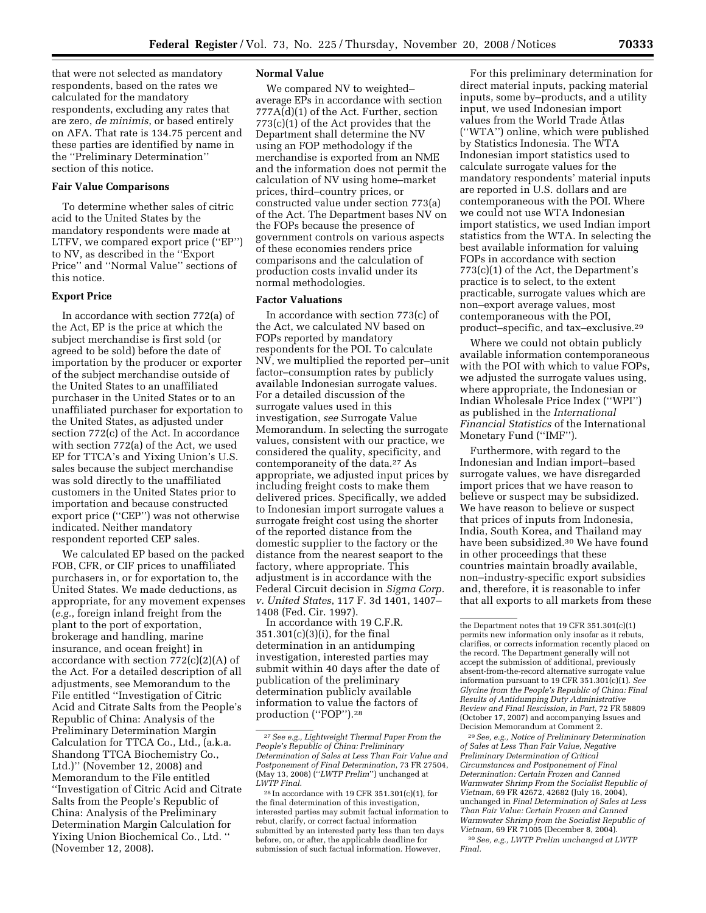that were not selected as mandatory respondents, based on the rates we calculated for the mandatory respondents, excluding any rates that are zero, *de minimis*, or based entirely on AFA. That rate is 134.75 percent and these parties are identified by name in the ''Preliminary Determination'' section of this notice.

### **Fair Value Comparisons**

To determine whether sales of citric acid to the United States by the mandatory respondents were made at LTFV, we compared export price (''EP'') to NV, as described in the ''Export Price'' and ''Normal Value'' sections of this notice.

### **Export Price**

In accordance with section 772(a) of the Act, EP is the price at which the subject merchandise is first sold (or agreed to be sold) before the date of importation by the producer or exporter of the subject merchandise outside of the United States to an unaffiliated purchaser in the United States or to an unaffiliated purchaser for exportation to the United States, as adjusted under section 772(c) of the Act. In accordance with section 772(a) of the Act, we used EP for TTCA's and Yixing Union's U.S. sales because the subject merchandise was sold directly to the unaffiliated customers in the United States prior to importation and because constructed export price (''CEP'') was not otherwise indicated. Neither mandatory respondent reported CEP sales.

We calculated EP based on the packed FOB, CFR, or CIF prices to unaffiliated purchasers in, or for exportation to, the United States. We made deductions, as appropriate, for any movement expenses (*e.g.*, foreign inland freight from the plant to the port of exportation, brokerage and handling, marine insurance, and ocean freight) in accordance with section 772(c)(2)(A) of the Act. For a detailed description of all adjustments, see Memorandum to the File entitled ''Investigation of Citric Acid and Citrate Salts from the People's Republic of China: Analysis of the Preliminary Determination Margin Calculation for TTCA Co., Ltd., (a.k.a. Shandong TTCA Biochemistry Co., Ltd.)'' (November 12, 2008) and Memorandum to the File entitled ''Investigation of Citric Acid and Citrate Salts from the People's Republic of China: Analysis of the Preliminary Determination Margin Calculation for Yixing Union Biochemical Co., Ltd. '' (November 12, 2008).

### **Normal Value**

We compared NV to weighted– average EPs in accordance with section 777A(d)(1) of the Act. Further, section 773(c)(1) of the Act provides that the Department shall determine the NV using an FOP methodology if the merchandise is exported from an NME and the information does not permit the calculation of NV using home–market prices, third–country prices, or constructed value under section 773(a) of the Act. The Department bases NV on the FOPs because the presence of government controls on various aspects of these economies renders price comparisons and the calculation of production costs invalid under its normal methodologies.

#### **Factor Valuations**

In accordance with section 773(c) of the Act, we calculated NV based on FOPs reported by mandatory respondents for the POI. To calculate NV, we multiplied the reported per–unit factor–consumption rates by publicly available Indonesian surrogate values. For a detailed discussion of the surrogate values used in this investigation, *see* Surrogate Value Memorandum. In selecting the surrogate values, consistent with our practice, we considered the quality, specificity, and contemporaneity of the data.27 As appropriate, we adjusted input prices by including freight costs to make them delivered prices. Specifically, we added to Indonesian import surrogate values a surrogate freight cost using the shorter of the reported distance from the domestic supplier to the factory or the distance from the nearest seaport to the factory, where appropriate. This adjustment is in accordance with the Federal Circuit decision in *Sigma Corp. v. United States*, 117 F. 3d 1401, 1407– 1408 (Fed. Cir. 1997).

In accordance with 19 C.F.R. 351.301(c)(3)(i), for the final determination in an antidumping investigation, interested parties may submit within 40 days after the date of publication of the preliminary determination publicly available information to value the factors of production ("FOP").<sup>28</sup>

For this preliminary determination for direct material inputs, packing material inputs, some by–products, and a utility input, we used Indonesian import values from the World Trade Atlas (''WTA'') online, which were published by Statistics Indonesia. The WTA Indonesian import statistics used to calculate surrogate values for the mandatory respondents' material inputs are reported in U.S. dollars and are contemporaneous with the POI. Where we could not use WTA Indonesian import statistics, we used Indian import statistics from the WTA. In selecting the best available information for valuing FOPs in accordance with section 773(c)(1) of the Act, the Department's practice is to select, to the extent practicable, surrogate values which are non–export average values, most contemporaneous with the POI, product–specific, and tax–exclusive.29

Where we could not obtain publicly available information contemporaneous with the POI with which to value FOPs, we adjusted the surrogate values using, where appropriate, the Indonesian or Indian Wholesale Price Index (''WPI'') as published in the *International Financial Statistics* of the International Monetary Fund (''IMF'').

Furthermore, with regard to the Indonesian and Indian import–based surrogate values, we have disregarded import prices that we have reason to believe or suspect may be subsidized. We have reason to believe or suspect that prices of inputs from Indonesia, India, South Korea, and Thailand may have been subsidized.30 We have found in other proceedings that these countries maintain broadly available, non–industry-specific export subsidies and, therefore, it is reasonable to infer that all exports to all markets from these

29*See, e.g., Notice of Preliminary Determination of Sales at Less Than Fair Value, Negative Preliminary Determination of Critical Circumstances and Postponement of Final Determination: Certain Frozen and Canned Warmwater Shrimp From the Socialist Republic of Vietnam*, 69 FR 42672, 42682 (July 16, 2004), unchanged in *Final Determination of Sales at Less Than Fair Value: Certain Frozen and Canned Warmwater Shrimp from the Socialist Republic of Vietnam*, 69 FR 71005 (December 8, 2004). 30*See, e.g., LWTP Prelim unchanged at LWTP Final.* 

<sup>27</sup>*See e.g., Lightweight Thermal Paper From the People's Republic of China: Preliminary Determination of Sales at Less Than Fair Value and Postponement of Final Determination*, 73 FR 27504, (May 13, 2008) (''*LWTP Prelim*'') unchanged at *LWTP Final*.

<sup>28</sup> In accordance with 19 CFR 351.301(c)(1), for the final determination of this investigation, interested parties may submit factual information to rebut, clarify, or correct factual information submitted by an interested party less than ten days before, on, or after, the applicable deadline for submission of such factual information. However,

the Department notes that 19 CFR 351.301(c)(1) permits new information only insofar as it rebuts, clarifies, or corrects information recently placed on the record. The Department generally will not accept the submission of additional, previously absent-from-the-record alternative surrogate value information pursuant to 19 CFR 351.301(c)(1). *See Glycine from the People's Republic of China: Final Results of Antidumping Duty Administrative Review and Final Rescission, in Part*, 72 FR 58809 (October 17, 2007) and accompanying Issues and Decision Memorandum at Comment 2.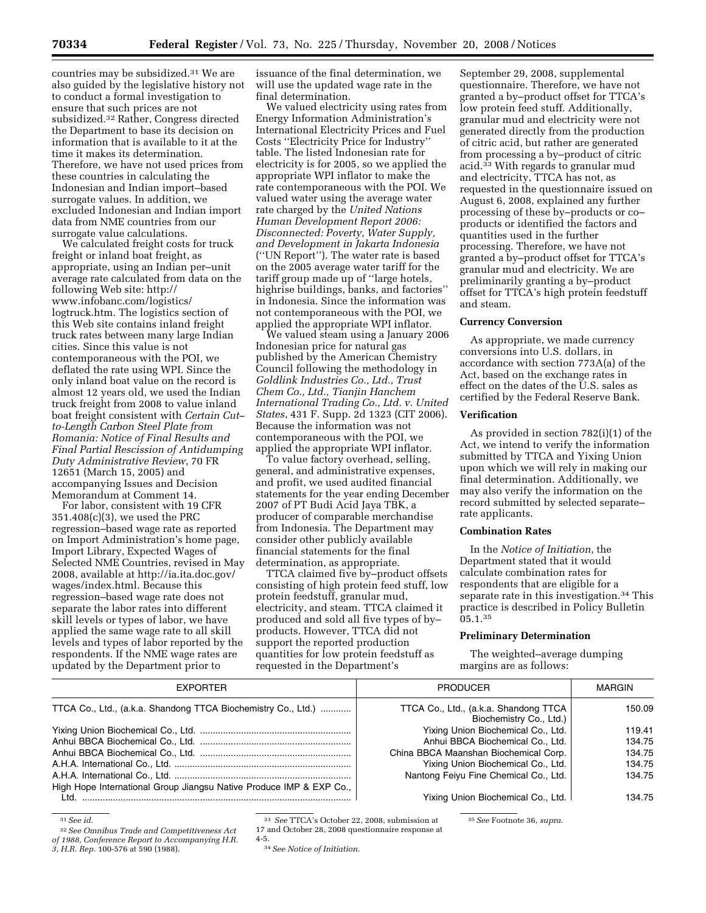countries may be subsidized.31 We are also guided by the legislative history not to conduct a formal investigation to ensure that such prices are not subsidized.32 Rather, Congress directed the Department to base its decision on information that is available to it at the time it makes its determination. Therefore, we have not used prices from these countries in calculating the Indonesian and Indian import–based surrogate values. In addition, we excluded Indonesian and Indian import data from NME countries from our surrogate value calculations.

We calculated freight costs for truck freight or inland boat freight, as appropriate, using an Indian per–unit average rate calculated from data on the following Web site: http:// www.infobanc.com/logistics/ logtruck.htm. The logistics section of this Web site contains inland freight truck rates between many large Indian cities. Since this value is not contemporaneous with the POI, we deflated the rate using WPI. Since the only inland boat value on the record is almost 12 years old, we used the Indian truck freight from 2008 to value inland boat freight consistent with *Certain Cut– to-Length Carbon Steel Plate from Romania: Notice of Final Results and Final Partial Rescission of Antidumping Duty Administrative Review*, 70 FR 12651 (March 15, 2005) and accompanying Issues and Decision Memorandum at Comment 14.

For labor, consistent with 19 CFR 351.408(c)(3), we used the PRC regression–based wage rate as reported on Import Administration's home page, Import Library, Expected Wages of Selected NME Countries, revised in May 2008, available at http://ia.ita.doc.gov/ wages/index.html. Because this regression–based wage rate does not separate the labor rates into different skill levels or types of labor, we have applied the same wage rate to all skill levels and types of labor reported by the respondents. If the NME wage rates are updated by the Department prior to

issuance of the final determination, we will use the updated wage rate in the final determination.

We valued electricity using rates from Energy Information Administration's International Electricity Prices and Fuel Costs ''Electricity Price for Industry'' table. The listed Indonesian rate for electricity is for 2005, so we applied the appropriate WPI inflator to make the rate contemporaneous with the POI. We valued water using the average water rate charged by the *United Nations Human Development Report 2006: Disconnected: Poverty, Water Supply, and Development in Jakarta Indonesia*  (''UN Report''). The water rate is based on the 2005 average water tariff for the tariff group made up of ''large hotels, highrise buildings, banks, and factories'' in Indonesia. Since the information was not contemporaneous with the POI, we applied the appropriate WPI inflator.

We valued steam using a January 2006 Indonesian price for natural gas published by the American Chemistry Council following the methodology in *Goldlink Industries Co., Ltd., Trust Chem Co., Ltd., Tianjin Hanchem International Trading Co., Ltd. v. United States*, 431 F. Supp. 2d 1323 (CIT 2006). Because the information was not contemporaneous with the POI, we applied the appropriate WPI inflator.

To value factory overhead, selling, general, and administrative expenses, and profit, we used audited financial statements for the year ending December 2007 of PT Budi Acid Jaya TBK, a producer of comparable merchandise from Indonesia. The Department may consider other publicly available financial statements for the final determination, as appropriate.

TTCA claimed five by–product offsets consisting of high protein feed stuff, low protein feedstuff, granular mud, electricity, and steam. TTCA claimed it produced and sold all five types of by– products. However, TTCA did not support the reported production quantities for low protein feedstuff as requested in the Department's

September 29, 2008, supplemental questionnaire. Therefore, we have not granted a by–product offset for TTCA's low protein feed stuff. Additionally, granular mud and electricity were not generated directly from the production of citric acid, but rather are generated from processing a by–product of citric acid.33 With regards to granular mud and electricity, TTCA has not, as requested in the questionnaire issued on August 6, 2008, explained any further processing of these by–products or co– products or identified the factors and quantities used in the further processing. Therefore, we have not granted a by–product offset for TTCA's granular mud and electricity. We are preliminarily granting a by–product offset for TTCA's high protein feedstuff and steam.

#### **Currency Conversion**

As appropriate, we made currency conversions into U.S. dollars, in accordance with section 773A(a) of the Act, based on the exchange rates in effect on the dates of the U.S. sales as certified by the Federal Reserve Bank.

#### **Verification**

As provided in section 782(i)(1) of the Act, we intend to verify the information submitted by TTCA and Yixing Union upon which we will rely in making our final determination. Additionally, we may also verify the information on the record submitted by selected separate– rate applicants.

### **Combination Rates**

In the *Notice of Initiation*, the Department stated that it would calculate combination rates for respondents that are eligible for a separate rate in this investigation.<sup>34</sup> This practice is described in Policy Bulletin  $05.1.^{\rm 35}$ 

#### **Preliminary Determination**

The weighted–average dumping margins are as follows:

| <b>EXPORTER</b>                                                     | <b>PRODUCER</b>                                                  | <b>MARGIN</b> |
|---------------------------------------------------------------------|------------------------------------------------------------------|---------------|
| TTCA Co., Ltd., (a.k.a. Shandong TTCA Biochemistry Co., Ltd.)       | TTCA Co., Ltd., (a.k.a. Shandong TTCA<br>Biochemistry Co., Ltd.) | 150.09        |
|                                                                     | Yixing Union Biochemical Co., Ltd.                               | 119.41        |
|                                                                     | Anhui BBCA Biochemical Co., Ltd.                                 | 134.75        |
|                                                                     | China BBCA Maanshan Biochemical Corp.                            | 134.75        |
|                                                                     | Yixing Union Biochemical Co., Ltd.                               | 134.75        |
|                                                                     | Nantong Feiyu Fine Chemical Co., Ltd.                            | 134.75        |
| High Hope International Group Jiangsu Native Produce IMP & EXP Co., |                                                                  |               |
|                                                                     | Yixing Union Biochemical Co., Ltd.                               | 134.75        |

<sup>31</sup>*See id.* 

32*See Omnibus Trade and Competitiveness Act* 

*of 1988, Conference Report to Accompanying H.R.* 

*3, H.R. Rep.* 100-576 at 590 (1988).

33 *See* TTCA's October 22, 2008, submission at 17 and October 28, 2008 questionnaire response at

34*See Notice of Initiation.* 

4-5.

35*See* Footnote 36, *supra*.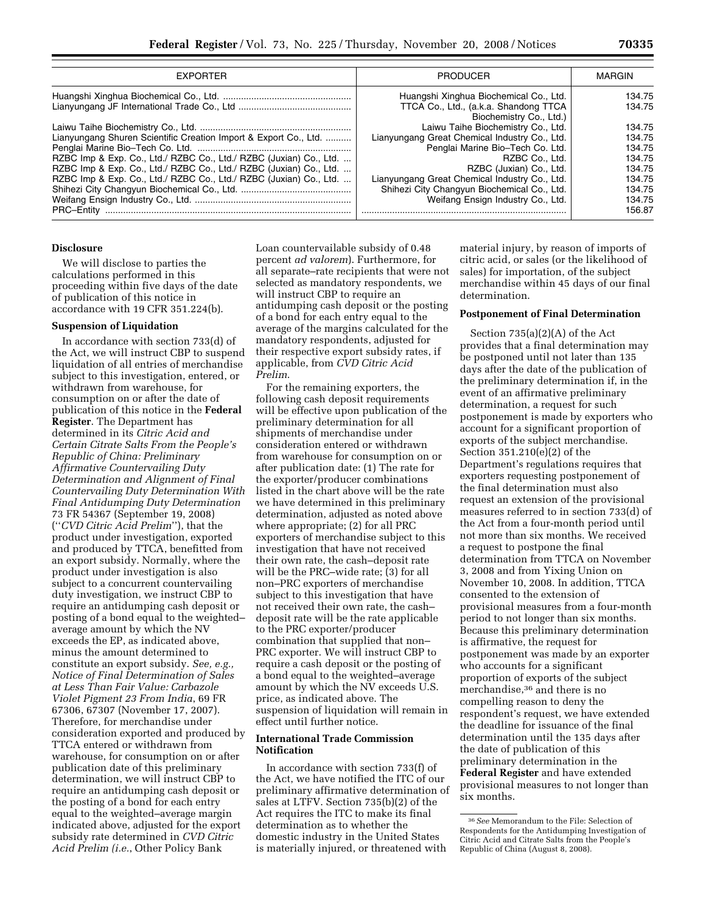| <b>EXPORTER</b>                                                    | <b>PRODUCER</b>                                                  | MARGIN |
|--------------------------------------------------------------------|------------------------------------------------------------------|--------|
|                                                                    | Huangshi Xinghua Biochemical Co., Ltd.                           | 134.75 |
|                                                                    | TTCA Co., Ltd., (a.k.a. Shandong TTCA<br>Biochemistry Co., Ltd.) | 134.75 |
|                                                                    | Laiwu Taihe Biochemistry Co., Ltd.                               | 134.75 |
| Lianyungang Shuren Scientific Creation Import & Export Co., Ltd.   | Lianyungang Great Chemical Industry Co., Ltd.                    | 134.75 |
|                                                                    | Penglai Marine Bio-Tech Co. Ltd.                                 | 134.75 |
| RZBC Imp & Exp. Co., Ltd./ RZBC Co., Ltd./ RZBC (Juxian) Co., Ltd. | RZBC Co., Ltd.                                                   | 134.75 |
| RZBC Imp & Exp. Co., Ltd./ RZBC Co., Ltd./ RZBC (Juxian) Co., Ltd. | RZBC (Juxian) Co., Ltd.                                          | 134.75 |
| RZBC Imp & Exp. Co., Ltd./ RZBC Co., Ltd./ RZBC (Juxian) Co., Ltd. | Lianyungang Great Chemical Industry Co., Ltd.                    | 134.75 |
|                                                                    | Shihezi City Changyun Biochemical Co., Ltd.                      | 134.75 |
|                                                                    | Weifang Ensign Industry Co., Ltd.                                | 134.75 |
|                                                                    |                                                                  | 156.87 |

### **Disclosure**

We will disclose to parties the calculations performed in this proceeding within five days of the date of publication of this notice in accordance with 19 CFR 351.224(b).

### **Suspension of Liquidation**

In accordance with section 733(d) of the Act, we will instruct CBP to suspend liquidation of all entries of merchandise subject to this investigation, entered, or withdrawn from warehouse, for consumption on or after the date of publication of this notice in the **Federal Register**. The Department has determined in its *Citric Acid and Certain Citrate Salts From the People's Republic of China: Preliminary Affirmative Countervailing Duty Determination and Alignment of Final Countervailing Duty Determination With Final Antidumping Duty Determination*  73 FR 54367 (September 19, 2008) (''*CVD Citric Acid Prelim*''), that the product under investigation, exported and produced by TTCA, benefitted from an export subsidy. Normally, where the product under investigation is also subject to a concurrent countervailing duty investigation, we instruct CBP to require an antidumping cash deposit or posting of a bond equal to the weighted– average amount by which the NV exceeds the EP, as indicated above, minus the amount determined to constitute an export subsidy. *See, e.g., Notice of Final Determination of Sales at Less Than Fair Value: Carbazole Violet Pigment 23 From India*, 69 FR 67306, 67307 (November 17, 2007). Therefore, for merchandise under consideration exported and produced by TTCA entered or withdrawn from warehouse, for consumption on or after publication date of this preliminary determination, we will instruct CBP to require an antidumping cash deposit or the posting of a bond for each entry equal to the weighted–average margin indicated above, adjusted for the export subsidy rate determined in *CVD Citric Acid Prelim (i.e.*, Other Policy Bank

Loan countervailable subsidy of 0.48 percent *ad valorem*). Furthermore, for all separate–rate recipients that were not selected as mandatory respondents, we will instruct CBP to require an antidumping cash deposit or the posting of a bond for each entry equal to the average of the margins calculated for the mandatory respondents, adjusted for their respective export subsidy rates, if applicable, from *CVD Citric Acid Prelim*.

For the remaining exporters, the following cash deposit requirements will be effective upon publication of the preliminary determination for all shipments of merchandise under consideration entered or withdrawn from warehouse for consumption on or after publication date: (1) The rate for the exporter/producer combinations listed in the chart above will be the rate we have determined in this preliminary determination, adjusted as noted above where appropriate; (2) for all PRC exporters of merchandise subject to this investigation that have not received their own rate, the cash–deposit rate will be the PRC–wide rate; (3) for all non–PRC exporters of merchandise subject to this investigation that have not received their own rate, the cash– deposit rate will be the rate applicable to the PRC exporter/producer combination that supplied that non– PRC exporter. We will instruct CBP to require a cash deposit or the posting of a bond equal to the weighted–average amount by which the NV exceeds U.S. price, as indicated above. The suspension of liquidation will remain in effect until further notice.

### **International Trade Commission Notification**

In accordance with section 733(f) of the Act, we have notified the ITC of our preliminary affirmative determination of sales at LTFV. Section 735(b)(2) of the Act requires the ITC to make its final determination as to whether the domestic industry in the United States is materially injured, or threatened with

material injury, by reason of imports of citric acid, or sales (or the likelihood of sales) for importation, of the subject merchandise within 45 days of our final determination.

### **Postponement of Final Determination**

Section 735(a)(2)(A) of the Act provides that a final determination may be postponed until not later than 135 days after the date of the publication of the preliminary determination if, in the event of an affirmative preliminary determination, a request for such postponement is made by exporters who account for a significant proportion of exports of the subject merchandise. Section 351.210(e)(2) of the Department's regulations requires that exporters requesting postponement of the final determination must also request an extension of the provisional measures referred to in section 733(d) of the Act from a four-month period until not more than six months. We received a request to postpone the final determination from TTCA on November 3, 2008 and from Yixing Union on November 10, 2008. In addition, TTCA consented to the extension of provisional measures from a four-month period to not longer than six months. Because this preliminary determination is affirmative, the request for postponement was made by an exporter who accounts for a significant proportion of exports of the subject merchandise,36 and there is no compelling reason to deny the respondent's request, we have extended the deadline for issuance of the final determination until the 135 days after the date of publication of this preliminary determination in the **Federal Register** and have extended provisional measures to not longer than six months.

<sup>36</sup>*See* Memorandum to the File: Selection of Respondents for the Antidumping Investigation of Citric Acid and Citrate Salts from the People's Republic of China (August 8, 2008).